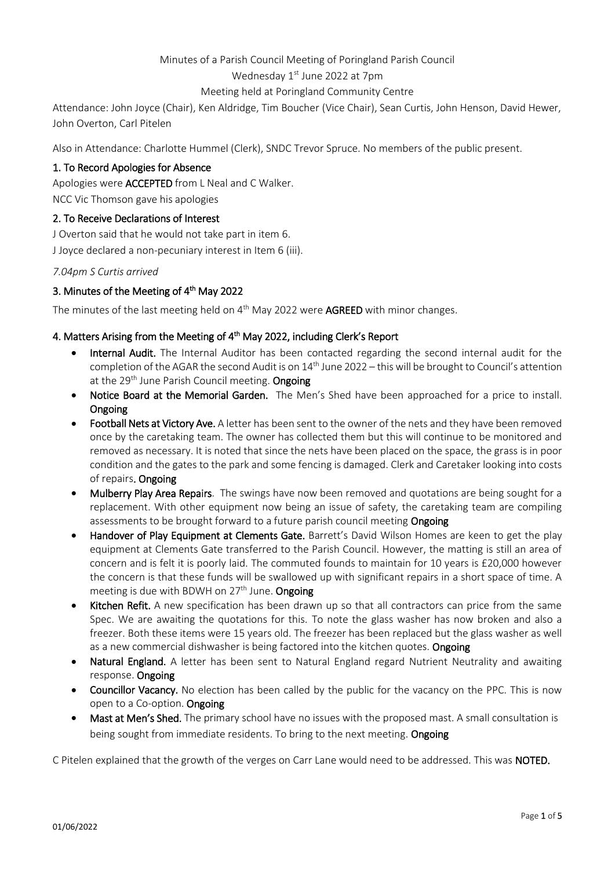### Minutes of a Parish Council Meeting of Poringland Parish Council

Wednesday 1<sup>st</sup> June 2022 at 7pm

Meeting held at Poringland Community Centre

Attendance: John Joyce (Chair), Ken Aldridge, Tim Boucher (Vice Chair), Sean Curtis, John Henson, David Hewer, John Overton, Carl Pitelen

Also in Attendance: Charlotte Hummel (Clerk), SNDC Trevor Spruce. No members of the public present.

### 1. To Record Apologies for Absence

Apologies were ACCEPTED from L Neal and C Walker. NCC Vic Thomson gave his apologies

### 2. To Receive Declarations of Interest

J Overton said that he would not take part in item 6. J Joyce declared a non-pecuniary interest in Item 6 (iii).

*7.04pm S Curtis arrived*

### 3. Minutes of the Meeting of 4<sup>th</sup> May 2022

The minutes of the last meeting held on 4<sup>th</sup> May 2022 were AGREED with minor changes.

### 4. Matters Arising from the Meeting of 4<sup>th</sup> May 2022, including Clerk's Report

- Internal Audit. The Internal Auditor has been contacted regarding the second internal audit for the completion of the AGAR the second Audit is on 14<sup>th</sup> June 2022 – this will be brought to Council's attention at the 29<sup>th</sup> June Parish Council meeting. Ongoing
- Notice Board at the Memorial Garden. The Men's Shed have been approached for a price to install. Ongoing
- Football Nets at Victory Ave. A letter has been sent to the owner of the nets and they have been removed once by the caretaking team. The owner has collected them but this will continue to be monitored and removed as necessary. It is noted that since the nets have been placed on the space, the grass is in poor condition and the gates to the park and some fencing is damaged. Clerk and Caretaker looking into costs of repairs. Ongoing
- Mulberry Play Area Repairs. The swings have now been removed and quotations are being sought for a replacement. With other equipment now being an issue of safety, the caretaking team are compiling assessments to be brought forward to a future parish council meeting Ongoing
- Handover of Play Equipment at Clements Gate. Barrett's David Wilson Homes are keen to get the play equipment at Clements Gate transferred to the Parish Council. However, the matting is still an area of concern and is felt it is poorly laid. The commuted founds to maintain for 10 years is £20,000 however the concern is that these funds will be swallowed up with significant repairs in a short space of time. A meeting is due with BDWH on  $27<sup>th</sup>$  June. Ongoing
- Kitchen Refit. A new specification has been drawn up so that all contractors can price from the same Spec. We are awaiting the quotations for this. To note the glass washer has now broken and also a freezer. Both these items were 15 years old. The freezer has been replaced but the glass washer as well as a new commercial dishwasher is being factored into the kitchen quotes. Ongoing
- Natural England. A letter has been sent to Natural England regard Nutrient Neutrality and awaiting response. Ongoing
- Councillor Vacancy. No election has been called by the public for the vacancy on the PPC. This is now open to a Co-option. Ongoing
- Mast at Men's Shed. The primary school have no issues with the proposed mast. A small consultation is being sought from immediate residents. To bring to the next meeting. Ongoing

C Pitelen explained that the growth of the verges on Carr Lane would need to be addressed. This was NOTED.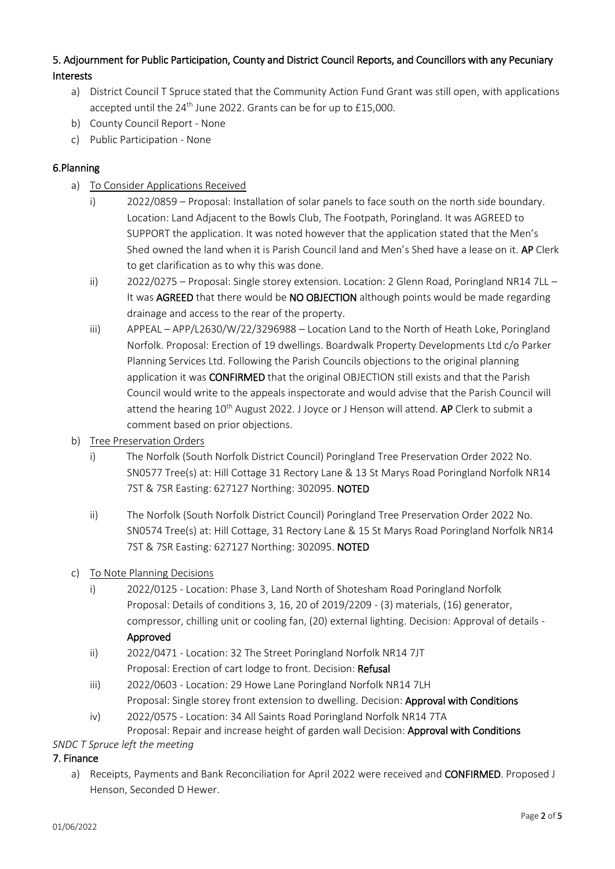# 5. Adjournment for Public Participation, County and District Council Reports, and Councillors with any Pecuniary Interests

- a) District Council T Spruce stated that the Community Action Fund Grant was still open, with applications accepted until the 24<sup>th</sup> June 2022. Grants can be for up to £15,000.
- b) County Council Report None
- c) Public Participation None

## 6.Planning

- a) To Consider Applications Received
	- i) 2022/0859 Proposal: Installation of solar panels to face south on the north side boundary. Location: Land Adjacent to the Bowls Club, The Footpath, Poringland. It was AGREED to SUPPORT the application. It was noted however that the application stated that the Men's Shed owned the land when it is Parish Council land and Men's Shed have a lease on it. AP Clerk to get clarification as to why this was done.
	- ii) 2022/0275 Proposal: Single storey extension. Location: 2 Glenn Road, Poringland NR14 7LL It was AGREED that there would be NO OBJECTION although points would be made regarding drainage and access to the rear of the property.
	- iii) APPEAL APP/L2630/W/22/3296988 Location Land to the North of Heath Loke, Poringland Norfolk. Proposal: Erection of 19 dwellings. Boardwalk Property Developments Ltd c/o Parker Planning Services Ltd. Following the Parish Councils objections to the original planning application it was CONFIRMED that the original OBJECTION still exists and that the Parish Council would write to the appeals inspectorate and would advise that the Parish Council will attend the hearing 10<sup>th</sup> August 2022. J Joyce or J Henson will attend. AP Clerk to submit a comment based on prior objections.
- b) Tree Preservation Orders
	- i) The Norfolk (South Norfolk District Council) Poringland Tree Preservation Order 2022 No. SN0577 Tree(s) at: Hill Cottage 31 Rectory Lane & 13 St Marys Road Poringland Norfolk NR14 7ST & 7SR Easting: 627127 Northing: 302095. NOTED
	- ii) The Norfolk (South Norfolk District Council) Poringland Tree Preservation Order 2022 No. SN0574 Tree(s) at: Hill Cottage, 31 Rectory Lane & 15 St Marys Road Poringland Norfolk NR14 7ST & 7SR Easting: 627127 Northing: 302095. NOTED
- c) To Note Planning Decisions
	- i) 2022/0125 Location: Phase 3, Land North of Shotesham Road Poringland Norfolk Proposal: Details of conditions 3, 16, 20 of 2019/2209 - (3) materials, (16) generator, compressor, chilling unit or cooling fan, (20) external lighting. Decision: Approval of details - Approved
	- ii) 2022/0471 Location: 32 The Street Poringland Norfolk NR14 7JT Proposal: Erection of cart lodge to front. Decision: Refusal
	- iii) 2022/0603 Location: 29 Howe Lane Poringland Norfolk NR14 7LH Proposal: Single storey front extension to dwelling. Decision: Approval with Conditions
	- iv) 2022/0575 Location: 34 All Saints Road Poringland Norfolk NR14 7TA
		- Proposal: Repair and increase height of garden wall Decision: Approval with Conditions

### *SNDC T Spruce left the meeting*

### 7. Finance

a) Receipts, Payments and Bank Reconciliation for April 2022 were received and CONFIRMED. Proposed J Henson, Seconded D Hewer.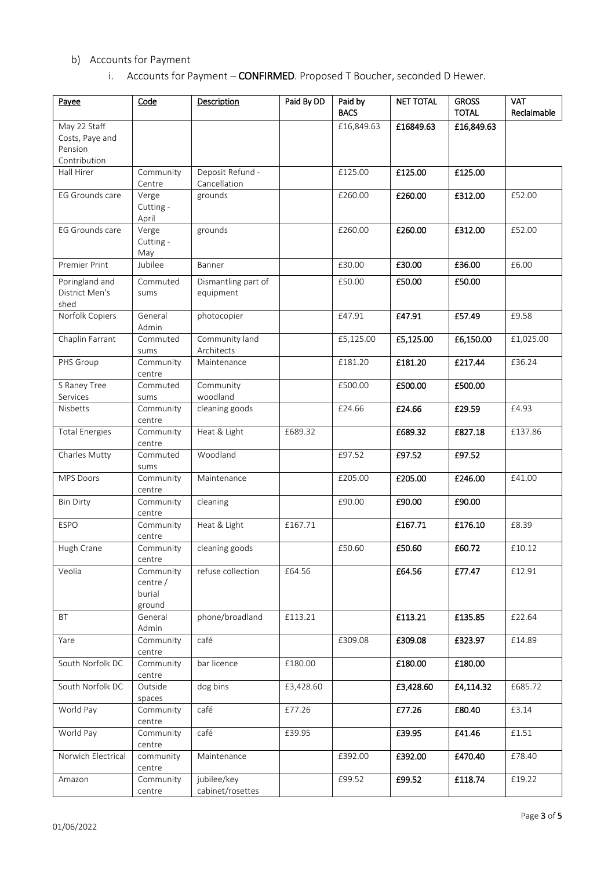# b) Accounts for Payment

i. Accounts for Payment - CONFIRMED. Proposed T Boucher, seconded D Hewer.

| Payee                                                      | Code                                        | Description                      | Paid By DD | Paid by<br><b>BACS</b> | <b>NET TOTAL</b> | <b>GROSS</b><br><b>TOTAL</b> | <b>VAT</b><br>Reclaimable |
|------------------------------------------------------------|---------------------------------------------|----------------------------------|------------|------------------------|------------------|------------------------------|---------------------------|
| May 22 Staff<br>Costs, Paye and<br>Pension<br>Contribution |                                             |                                  |            | £16,849.63             | £16849.63        | £16,849.63                   |                           |
| Hall Hirer                                                 | Community<br>Centre                         | Deposit Refund -<br>Cancellation |            | £125.00                | £125.00          | £125.00                      |                           |
| EG Grounds care                                            | Verge<br>Cutting -<br>April                 | grounds                          |            | £260.00                | £260.00          | £312.00                      | £52.00                    |
| EG Grounds care                                            | Verge<br>Cutting -<br>May                   | grounds                          |            | £260.00                | £260.00          | £312.00                      | £52.00                    |
| Premier Print                                              | Jubilee                                     | Banner                           |            | £30.00                 | £30.00           | £36.00                       | £6.00                     |
| Poringland and<br>District Men's<br>shed                   | Commuted<br>sums                            | Dismantling part of<br>equipment |            | £50.00                 | £50.00           | £50.00                       |                           |
| Norfolk Copiers                                            | General<br>Admin                            | photocopier                      |            | £47.91                 | £47.91           | £57.49                       | £9.58                     |
| Chaplin Farrant                                            | Commuted<br>sums                            | Community land<br>Architects     |            | £5,125.00              | £5,125.00        | £6,150.00                    | £1,025.00                 |
| PHS Group                                                  | Community<br>centre                         | Maintenance                      |            | £181.20                | £181.20          | £217.44                      | £36.24                    |
| S Raney Tree<br>Services                                   | Commuted<br>sums                            | Community<br>woodland            |            | £500.00                | £500.00          | £500.00                      |                           |
| Nisbetts                                                   | Community<br>centre                         | cleaning goods                   |            | £24.66                 | £24.66           | £29.59                       | £4.93                     |
| <b>Total Energies</b>                                      | Community<br>centre                         | Heat & Light                     | £689.32    |                        | £689.32          | £827.18                      | £137.86                   |
| Charles Mutty                                              | Commuted<br>sums                            | Woodland                         |            | £97.52                 | £97.52           | £97.52                       |                           |
| MPS Doors                                                  | Community<br>centre                         | Maintenance                      |            | £205.00                | £205.00          | £246.00                      | £41.00                    |
| <b>Bin Dirty</b>                                           | Community<br>centre                         | cleaning                         |            | £90.00                 | £90.00           | £90.00                       |                           |
| <b>ESPO</b>                                                | Community<br>centre                         | Heat & Light                     | £167.71    |                        | £167.71          | £176.10                      | £8.39                     |
| Hugh Crane                                                 | Community<br>centre                         | cleaning goods                   |            | £50.60                 | £50.60           | £60.72                       | £10.12                    |
| Veolia                                                     | Community<br>centre $/$<br>burial<br>ground | refuse collection                | £64.56     |                        | £64.56           | £77.47                       | £12.91                    |
| <b>BT</b>                                                  | General<br>Admin                            | phone/broadland                  | £113.21    |                        | £113.21          | £135.85                      | £22.64                    |
| Yare                                                       | Community<br>centre                         | café                             |            | £309.08                | £309.08          | £323.97                      | £14.89                    |
| South Norfolk DC                                           | Community<br>centre                         | bar licence                      | £180.00    |                        | £180.00          | £180.00                      |                           |
| South Norfolk DC                                           | Outside<br>spaces                           | dog bins                         | £3,428.60  |                        | £3,428.60        | £4,114.32                    | £685.72                   |
| World Pay                                                  | Community<br>centre                         | café                             | £77.26     |                        | £77.26           | £80.40                       | £3.14                     |
| World Pay                                                  | Community<br>centre                         | café                             | £39.95     |                        | £39.95           | £41.46                       | £1.51                     |
| Norwich Electrical                                         | community<br>centre                         | Maintenance                      |            | £392.00                | £392.00          | £470.40                      | £78.40                    |
| Amazon                                                     | Community<br>centre                         | jubilee/key<br>cabinet/rosettes  |            | £99.52                 | £99.52           | £118.74                      | £19.22                    |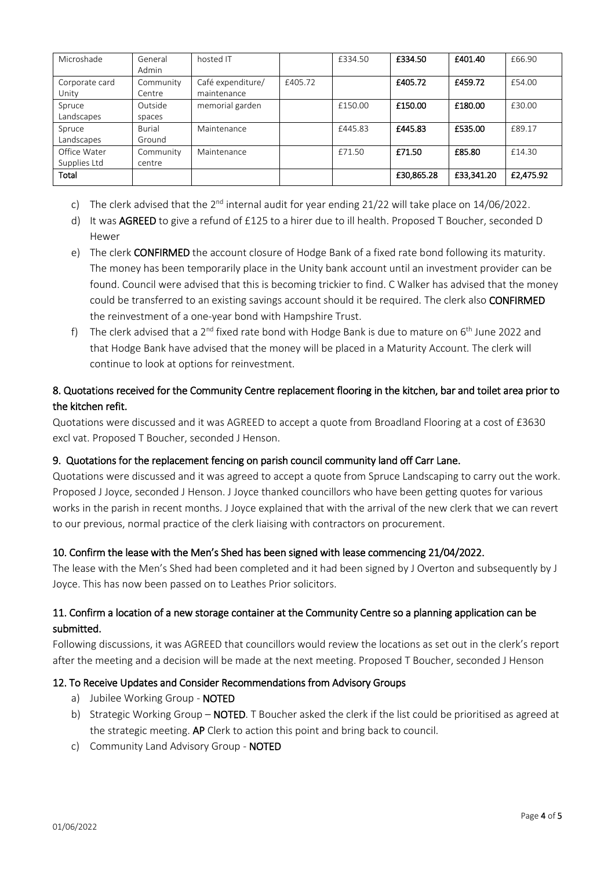| Microshade     | General       | hosted IT         |         | £334.50 | £334.50    | £401.40    | £66.90    |
|----------------|---------------|-------------------|---------|---------|------------|------------|-----------|
|                | Admin         |                   |         |         |            |            |           |
| Corporate card | Community     | Café expenditure/ | £405.72 |         | £405.72    | £459.72    | £54.00    |
| Unity          | Centre        | maintenance       |         |         |            |            |           |
| Spruce         | Outside       | memorial garden   |         | £150.00 | £150.00    | £180.00    | £30.00    |
| Landscapes     | spaces        |                   |         |         |            |            |           |
| Spruce         | <b>Burial</b> | Maintenance       |         | £445.83 | £445.83    | £535.00    | £89.17    |
| Landscapes     | Ground        |                   |         |         |            |            |           |
| Office Water   | Community     | Maintenance       |         | £71.50  | £71.50     | £85.80     | £14.30    |
| Supplies Ltd   | centre        |                   |         |         |            |            |           |
| Total          |               |                   |         |         | £30,865.28 | £33,341.20 | £2,475.92 |

- c) The clerk advised that the  $2<sup>nd</sup>$  internal audit for year ending 21/22 will take place on 14/06/2022.
- d) It was AGREED to give a refund of £125 to a hirer due to ill health. Proposed T Boucher, seconded D Hewer
- e) The clerk CONFIRMED the account closure of Hodge Bank of a fixed rate bond following its maturity. The money has been temporarily place in the Unity bank account until an investment provider can be found. Council were advised that this is becoming trickier to find. C Walker has advised that the money could be transferred to an existing savings account should it be required. The clerk also CONFIRMED the reinvestment of a one-year bond with Hampshire Trust.
- f) The clerk advised that a 2<sup>nd</sup> fixed rate bond with Hodge Bank is due to mature on  $6<sup>th</sup>$  June 2022 and that Hodge Bank have advised that the money will be placed in a Maturity Account. The clerk will continue to look at options for reinvestment.

## 8. Quotations received for the Community Centre replacement flooring in the kitchen, bar and toilet area prior to the kitchen refit.

Quotations were discussed and it was AGREED to accept a quote from Broadland Flooring at a cost of £3630 excl vat. Proposed T Boucher, seconded J Henson.

## 9. Quotations for the replacement fencing on parish council community land off Carr Lane.

Quotations were discussed and it was agreed to accept a quote from Spruce Landscaping to carry out the work. Proposed J Joyce, seconded J Henson. J Joyce thanked councillors who have been getting quotes for various works in the parish in recent months. J Joyce explained that with the arrival of the new clerk that we can revert to our previous, normal practice of the clerk liaising with contractors on procurement.

### 10. Confirm the lease with the Men's Shed has been signed with lease commencing 21/04/2022.

The lease with the Men's Shed had been completed and it had been signed by J Overton and subsequently by J Joyce. This has now been passed on to Leathes Prior solicitors.

## 11. Confirm a location of a new storage container at the Community Centre so a planning application can be submitted.

Following discussions, it was AGREED that councillors would review the locations as set out in the clerk's report after the meeting and a decision will be made at the next meeting. Proposed T Boucher, seconded J Henson

### 12. To Receive Updates and Consider Recommendations from Advisory Groups

- a) Jubilee Working Group NOTED
- b) Strategic Working Group NOTED. T Boucher asked the clerk if the list could be prioritised as agreed at the strategic meeting. AP Clerk to action this point and bring back to council.
- c) Community Land Advisory Group NOTED